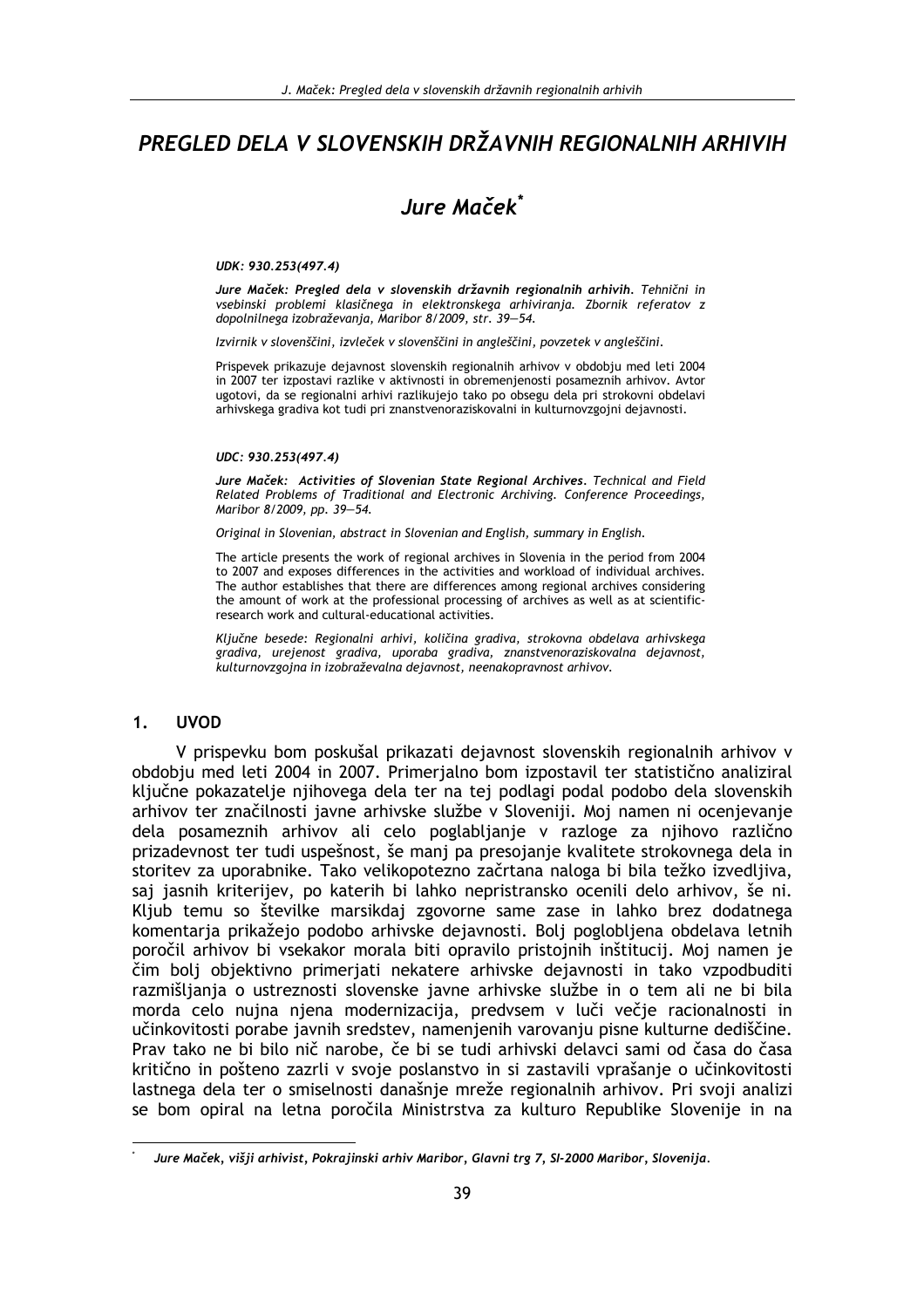# PREGLED DELA V SLOVENSKIH DRŽAVNIH REGIONALNIH ARHIVIH

# Jure Maček\*

### UDK: 930.253(497.4)

Jure Maček: Pregled dela v slovenskih državnih regionalnih arhivih. Tehnični in vsebinski problemi klasičnega in elektronskega arhiviranja. Zbornik referatov z dopolnilnega izobraževanja, Maribor 8/2009, str. 39-54.

Izvirnik v slovenščini, izvleček v slovenščini in angleščini, povzetek v angleščini.

Prispevek prikazuje dejavnost slovenskih regionalnih arhivov v obdobju med leti 2004 in 2007 ter izpostavi razlike v aktivnosti in obremenjenosti posameznih arhivov. Avtor ugotovi, da se regionalni arhivi razlikujejo tako po obsegu dela pri strokovni obdelavi arhivskega gradiva kot tudi pri znanstvenoraziskovalni in kulturnovzgojni dejavnosti.

#### UDC: 930.253(497.4)

Jure Maček: Activities of Slovenian State Regional Archives. Technical and Field Related Problems of Traditional and Electronic Archiving. Conference Proceedings, Maribor 8/2009, pp. 39-54.

Original in Slovenian, abstract in Slovenian and English, summary in English.

The article presents the work of regional archives in Slovenia in the period from 2004 to 2007 and exposes differences in the activities and workload of individual archives. The author establishes that there are differences among regional archives considering the amount of work at the professional processing of archives as well as at scientificresearch work and cultural-educational activities.

Ključne besede: Regionalni arhivi, količina gradiva, strokovna obdelava arhivskega gradiva, urejenost gradiva, uporaba gradiva, znanstvenoraziskovalna dejavnost, kulturnovzgojna in izobraževalna dejavnost, neenakopravnost arhivov.

#### $1.$ **UVOD**

V prispevku bom poskušal prikazati dejavnost slovenskih regionalnih arhivov v obdobju med leti 2004 in 2007. Primerjalno bom izpostavil ter statistično analiziral ključne pokazatelje njihovega dela ter na tej podlagi podal podobo dela slovenskih arhivov ter značilnosti javne arhivske službe v Sloveniji. Moj namen ni ocenjevanje dela posameznih arhivov ali celo poglablianie v razloge za niihovo različno prizadevnost ter tudi uspešnost, še manj pa presojanje kvalitete strokovnega dela in storitev za uporabnike. Tako velikopotezno začrtana naloga bi bila težko izvedljiva, saj jasnih kriterijev, po katerih bi lahko nepristransko ocenili delo arhivov, še ni. Kliub temu so številke marsikdaj zgovorne same zase in lahko brez dodatnega komentarja prikažejo podobo arhivske dejavnosti. Bolj poglobljena obdelava letnih poročil arhivov bi vsekakor morala biti opravilo pristojnih inštitucij. Moj namen je čim bolj objektivno primerjati nekatere arhivske dejavnosti in tako vzpodbuditi razmišliania o ustreznosti slovenske javne arhivske službe in o tem ali ne bi bila morda celo nujna njena modernizacija, predvsem v luči večje racionalnosti in učinkovitosti porabe javnih sredstev, namenjenih varovanju pisne kulturne dediščine. Prav tako ne bi bilo nič narobe, če bi se tudi arhivski delavci sami od časa do časa kritično in pošteno zazrli v svoje poslanstvo in si zastavili vprašanje o učinkovitosti lastnega dela ter o smiselnosti današnie mreže regionalnih arhivov. Pri svoji analizi se bom opiral na letna poročila Ministrstva za kulturo Republike Slovenije in na

Jure Maček, višji arhivist, Pokrajinski arhiv Maribor, Glavni trg 7, SI-2000 Maribor, Slovenija.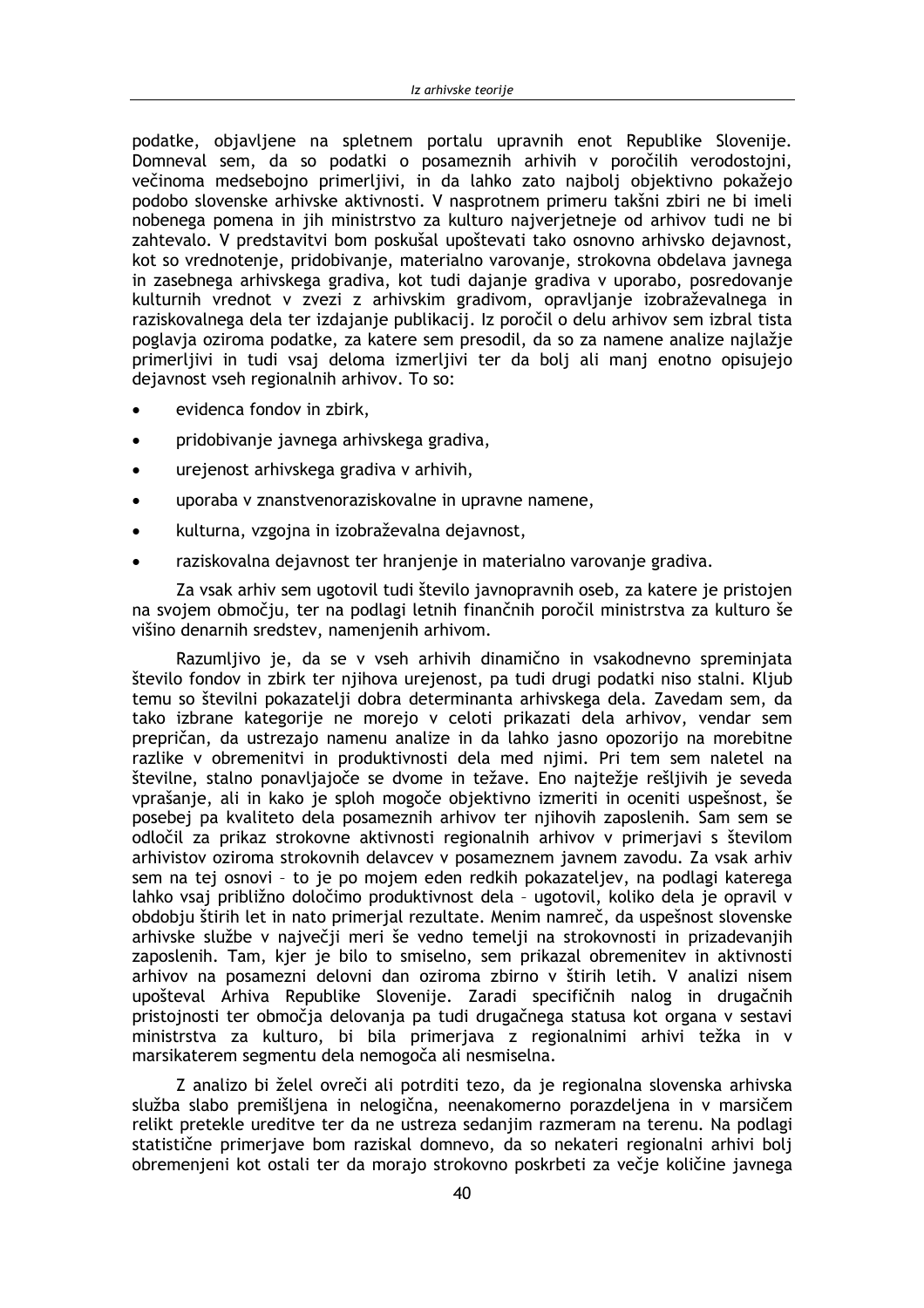podatke, objavljene na spletnem portalu upravnih enot Republike Slovenije. Domneval sem, da so podatki o posameznih arhivih v poročilih verodostojni, večinoma medsebojno primerljivi, in da lahko zato najbolj objektivno pokažejo podobo slovenske arhivske aktivnosti. V nasprotnem primeru takšni zbiri ne bi imeli nobenega pomena in jih ministrstvo za kulturo najverjetneje od arhivov tudi ne bi zahtevalo. V predstavitvi bom poskušal upoštevati tako osnovno arhivsko dejavnost, kot so vrednotenje, pridobivanje, materialno varovanje, strokovna obdelava javnega in zasebnega arhivskega gradiva, kot tudi dajanje gradiva v uporabo, posredovanje kulturnih vrednot v zvezi z arhivskim gradivom, opravljanje izobraževalnega in raziskovalnega dela ter izdajanje publikacij. Iz poročil o delu arhivov sem izbral tista poglavja oziroma podatke, za katere sem presodil, da so za namene analize najlažje primerljivi in tudi vsaj deloma izmerljivi ter da bolj ali manj enotno opisujejo dejavnost vseh regionalnih arhivov. To so:

- evidenca fondov in zbirk,
- pridobivanje javnega arhivskega gradiva,
- urejenost arhivskega gradiva v arhivih,
- uporaba v znanstvenoraziskovalne in upravne namene,
- kulturna, vzgojna in izobraževalna dejavnost,
- raziskovalna dejavnost ter hranjenje in materialno varovanje gradiva.

Za vsak arhiv sem ugotovil tudi število javnopravnih oseb, za katere je pristojen na svojem območju, ter na podlagi letnih finančnih poročil ministrstva za kulturo še višino denarnih sredstev, namenjenih arhivom.

Razumljivo je, da se v vseh arhivih dinamično in vsakodnevno spreminjata število fondov in zbirk ter njihova urejenost, pa tudi drugi podatki niso stalni. Kljub temu so številni pokazatelji dobra determinanta arhivskega dela. Zavedam sem, da tako izbrane kategorije ne morejo v celoti prikazati dela arhivov, vendar sem prepričan, da ustrezajo namenu analize in da lahko jasno opozorijo na morebitne razlike v obremenitvi in produktivnosti dela med niimi. Pri tem sem naletel na številne, stalno ponavljajoče se dvome in težave. Eno najtežje rešljivih je seveda vprašanie, ali in kako je sploh mogoče objektivno izmeriti in oceniti uspešnost, še posebej pa kvaliteto dela posameznih arhivov ter nijhovih zaposlenih. Sam sem se odločil za prikaz strokovne aktivnosti regionalnih arhivov v primeriavi s številom arhivistov oziroma strokovnih delavcev v posameznem javnem zavodu. Za vsak arhiv sem na tej osnovi - to je po mojem eden redkih pokazateljev, na podlagi katerega lahko vsaj približno določimo produktivnost dela - ugotovil, koliko dela je opravil v obdobju štirih let in nato primerjal rezultate. Menim namreč, da uspešnost slovenske arhivske službe v največji meri še vedno temelji na strokovnosti in prizadevanjih zaposlenih. Tam, kjer je bilo to smiselno, sem prikazal obremenitev in aktivnosti arhivov na posamezni delovni dan oziroma zbirno v štirih letih. V analizi nisem upošteval Arhiva Republike Slovenije. Zaradi specifičnih nalog in drugačnih pristojnosti ter območja delovanja pa tudi drugačnega statusa kot organa v sestavi ministrstva za kulturo, bi bila primerjava z regionalnimi arhivi težka in v marsikaterem segmentu dela nemogoča ali nesmiselna.

Z analizo bi želel ovreči ali potrditi tezo, da je regionalna slovenska arhivska služba slabo premišljena in nelogična, neenakomerno porazdeljena in v marsičem relikt pretekle ureditve ter da ne ustreza sedanjim razmeram na terenu. Na podlagi statistične primerjave bom raziskal domnevo, da so nekateri regionalni arhivi bolj obremenjeni kot ostali ter da morajo strokovno poskrbeti za večje količine javnega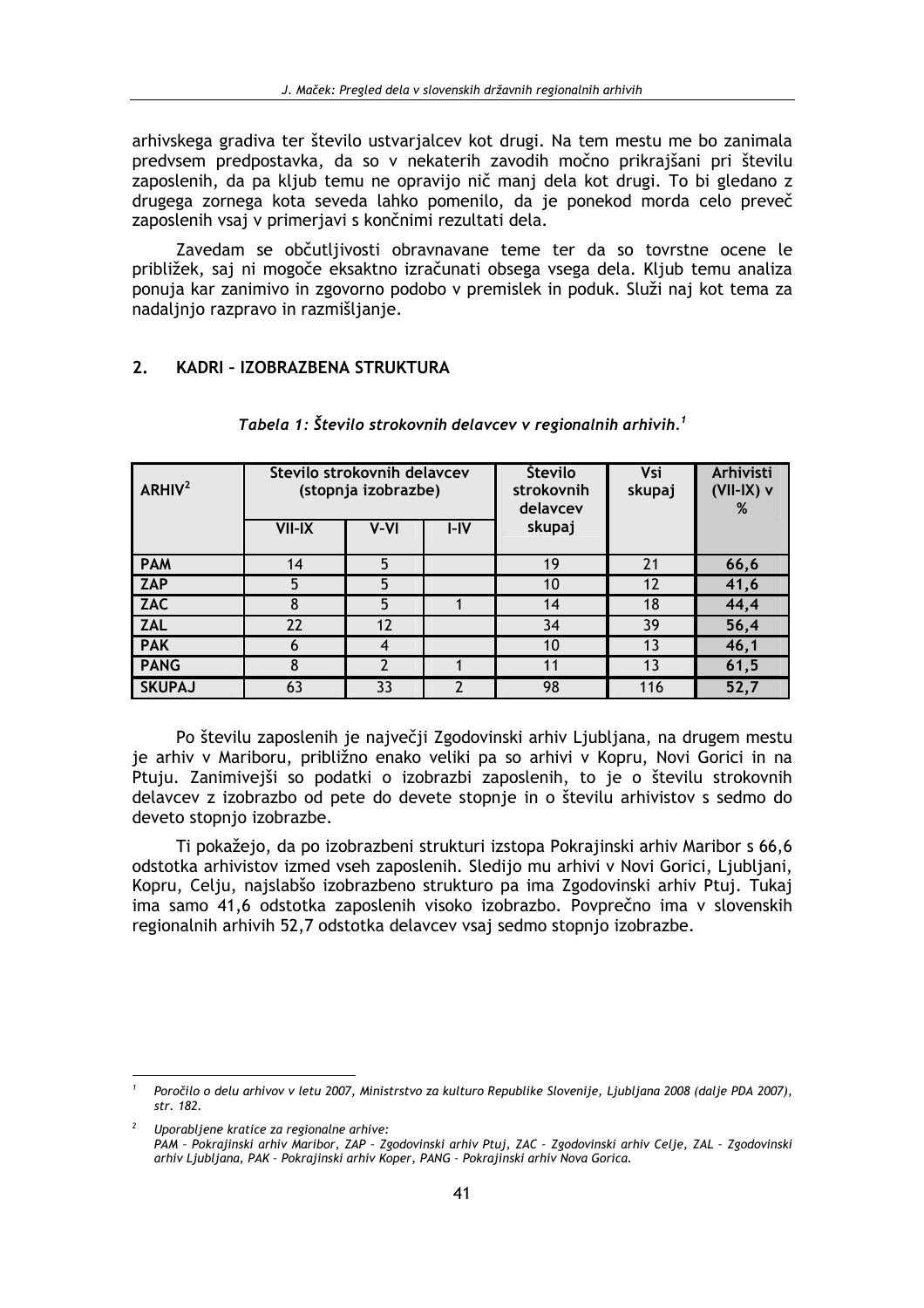arhivskega gradiva ter število ustvarjalcev kot drugi. Na tem mestu me bo zanimala predvsem predpostavka, da so v nekaterih zavodih močno prikrajšani pri številu zaposlenih, da pa kljub temu ne opravijo nič manj dela kot drugi. To bi gledano z drugega zornega kota seveda lahko pomenilo, da je ponekod morda celo preveč zaposlenih vsaj v primerjavi s končnimi rezultati dela.

Zavedam se občutljivosti obravnavane teme ter da so tovrstne ocene le približek, saj ni mogoče eksaktno izračunati obsega vsega dela. Kljub temu analiza ponuja kar zanimivo in zgovorno podobo v premislek in poduk. Služi naj kot tema za nadaljnjo razpravo in razmišljanje.

#### $2.$ KADRI - IZOBRAZBENA STRUKTURA

| ARHIV <sup>2</sup> | Število strokovnih delavcev<br>(stopnja izobrazbe) |                  |      | Število<br>strokovnih<br>delaycev | <b>Vsi</b><br>skupaj | Arhivisti<br>$(VII-IX)$ v<br>% |
|--------------------|----------------------------------------------------|------------------|------|-----------------------------------|----------------------|--------------------------------|
|                    | <b>VII-IX</b>                                      | V-VI             | I-IV | skupaj                            |                      |                                |
| <b>PAM</b>         | 14                                                 | 5                |      | 19                                | 21                   | 66,6                           |
| <b>ZAP</b>         | 5                                                  | 5                |      | 10                                | 12                   | 41,6                           |
| <b>ZAC</b>         | 8                                                  | 5                |      | 14                                | 18                   | 44,4                           |
| <b>ZAL</b>         | 22                                                 | 12               |      | 34                                | 39                   | 56,4                           |
| <b>PAK</b>         | 6                                                  | $\boldsymbol{4}$ |      | 10                                | 13                   | 46,1                           |
| <b>PANG</b>        | 8                                                  |                  |      | 11                                | 13                   | 61,5                           |
| <b>SKUPAJ</b>      | 63                                                 | 33               |      | 98                                | 116                  | 52,7                           |

Tabela 1: Število strokovnih delavcev v regionalnih arhivih.<sup>1</sup>

Po številu zaposlenih je največji Zgodovinski arhiv Ljubljana, na drugem mestu je arhiv v Mariboru, približno enako veliki pa so arhivi v Kopru, Novi Gorici in na Ptuju. Zanimivejši so podatki o izobrazbi zaposlenih, to je o številu strokovnih delavcev z izobrazbo od pete do devete stopnje in o številu arhivistov s sedmo do deveto stopnjo izobrazbe.

Ti pokažejo, da po izobrazbeni strukturi izstopa Pokrajinski arhiv Maribor s 66,6 odstotka arhivistov izmed vseh zaposlenih. Sledijo mu arhivi v Novi Gorici, Ljubljani, Kopru, Celju, najslabšo izobrazbeno strukturo pa ima Zgodovinski arhiv Ptuj. Tukaj ima samo 41,6 odstotka zaposlenih visoko izobrazbo. Povprečno ima v slovenskih regionalnih arhivih 52,7 odstotka delavcev vsaj sedmo stopnjo izobrazbe.

Uporabljene kratice za regionalne arhive:

Poročilo o delu arhivov v letu 2007, Ministrstvo za kulturo Republike Slovenije, Ljubljana 2008 (dalje PDA 2007), str. 182.

PAM - Pokrajinski arhiv Maribor, ZAP - Zgodovinski arhiv Ptuj, ZAC - Zgodovinski arhiv Celje, ZAL - Zgodovinski arhiv Ljubljana, PAK - Pokrajinski arhiv Koper, PANG - Pokrajinski arhiv Nova Gorica.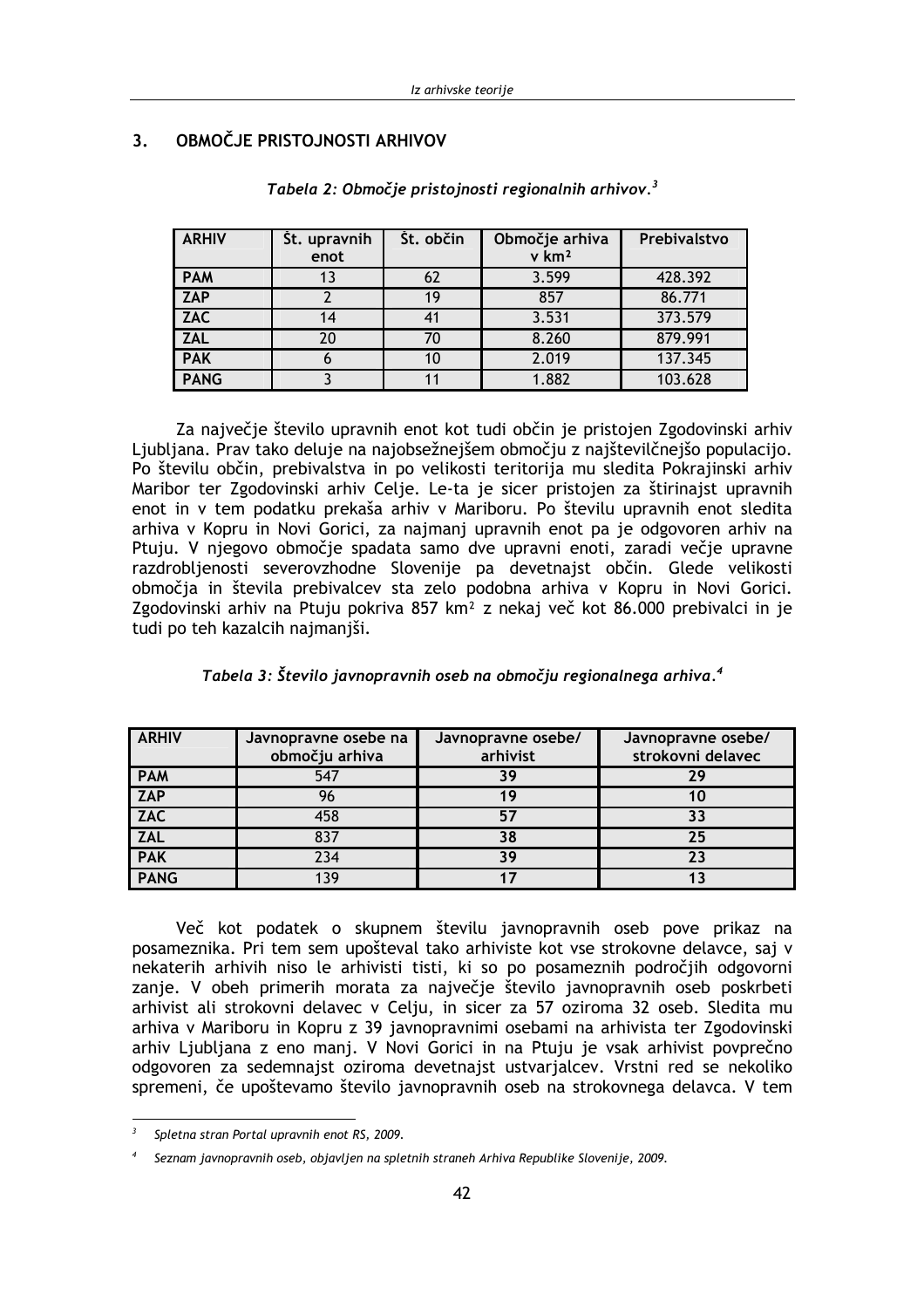| <b>ARHIV</b> | St. upravnih<br>enot | St. občin | Območje arhiva<br>$v$ km <sup>2</sup> | Prebivalstvo |
|--------------|----------------------|-----------|---------------------------------------|--------------|
| <b>PAM</b>   | 13                   | 62        | 3.599                                 | 428.392      |
| <b>ZAP</b>   |                      | 19        | 857                                   | 86.771       |
| <b>ZAC</b>   | 14                   |           | 3.531                                 | 373.579      |
| <b>ZAL</b>   | 20                   | 70        | 8.260                                 | 879.991      |
| <b>PAK</b>   |                      | 10        | 2.019                                 | 137.345      |
| <b>PANG</b>  |                      |           | 1.882                                 | 103.628      |

#### $\overline{\mathbf{3}}$ OBMOČJE PRISTOJNOSTI ARHIVOV

Tabela 2: Območje pristojnosti regionalnih arhivov.<sup>3</sup>

Za največje število upravnih enot kot tudi občin je pristojen Zgodovinski arhiv Ljubljana. Prav tako deluje na najobsežnejšem območju z najštevilčnejšo populacijo. Po številu občin, prebivalstva in po velikosti teritorija mu sledita Pokrajinski arhiv Maribor ter Zgodovinski arhiv Celje. Le-ta je sicer pristojen za štirinajst upravnih enot in v tem podatku prekaša arhiv v Mariboru. Po številu upravnih enot sledita arhiva v Kopru in Novi Gorici, za najmanj upravnih enot pa je odgovoren arhiv na Ptuju. V njegovo območje spadata samo dve upravni enoti, zaradi večje upravne razdrobljenosti severovzhodne Slovenije pa devetnajst občin. Glede velikosti območja in števila prebivalcev sta zelo podobna arhiva v Kopru in Novi Gorici. Zgodovinski arhiv na Ptuju pokriva 857 km<sup>2</sup> z nekaj več kot 86.000 prebivalci in je tudi po teh kazalcih najmanjši.

| <b>ARHIV</b> | Javnopravne osebe na | Javnopravne osebe/ | Javnopravne osebe/ |  |  |
|--------------|----------------------|--------------------|--------------------|--|--|
|              | območju arhiva       | arhivist           | strokovni delavec  |  |  |
| <b>PAM</b>   | 547                  | 39                 | 7 Q                |  |  |
| <b>ZAP</b>   | 96                   |                    | 10                 |  |  |
| <b>ZAC</b>   | 458                  | 57                 | 33                 |  |  |
| <b>ZAL</b>   | 837                  | 38                 | 25                 |  |  |
| <b>PAK</b>   | 234                  | 39                 | 23                 |  |  |
| <b>PANG</b>  | 139                  |                    |                    |  |  |

| Tabela 3: Število javnopravnih oseb na območju regionalnega arhiva. <sup>4</sup> |  |  |  |  |
|----------------------------------------------------------------------------------|--|--|--|--|
|----------------------------------------------------------------------------------|--|--|--|--|

Več kot podatek o skupnem številu javnopravnih oseb pove prikaz na posameznika. Pri tem sem upošteval tako arhiviste kot vse strokovne delavce, saj v nekaterih arhivih niso le arhivisti tisti, ki so po posameznih področjih odgovorni zanje. V obeh primerih morata za največje število javnopravnih oseb poskrbeti arhivist ali strokovni delavec v Celju, in sicer za 57 oziroma 32 oseb. Sledita mu arhiva v Mariboru in Kopru z 39 javnopravnimi osebami na arhivista ter Zgodovinski arhiv Ljubljana z eno manj. V Novi Gorici in na Ptuju je vsak arhivist povprečno odgovoren za sedemnajst oziroma devetnajst ustvarjalcev. Vrstni red se nekoliko spremeni, če upoštevamo število javnopravnih oseb na strokovnega delavca. V tem

Spletna stran Portal upravnih enot RS, 2009.

Seznam javnopravnih oseb, objavljen na spletnih straneh Arhiva Republike Slovenije, 2009.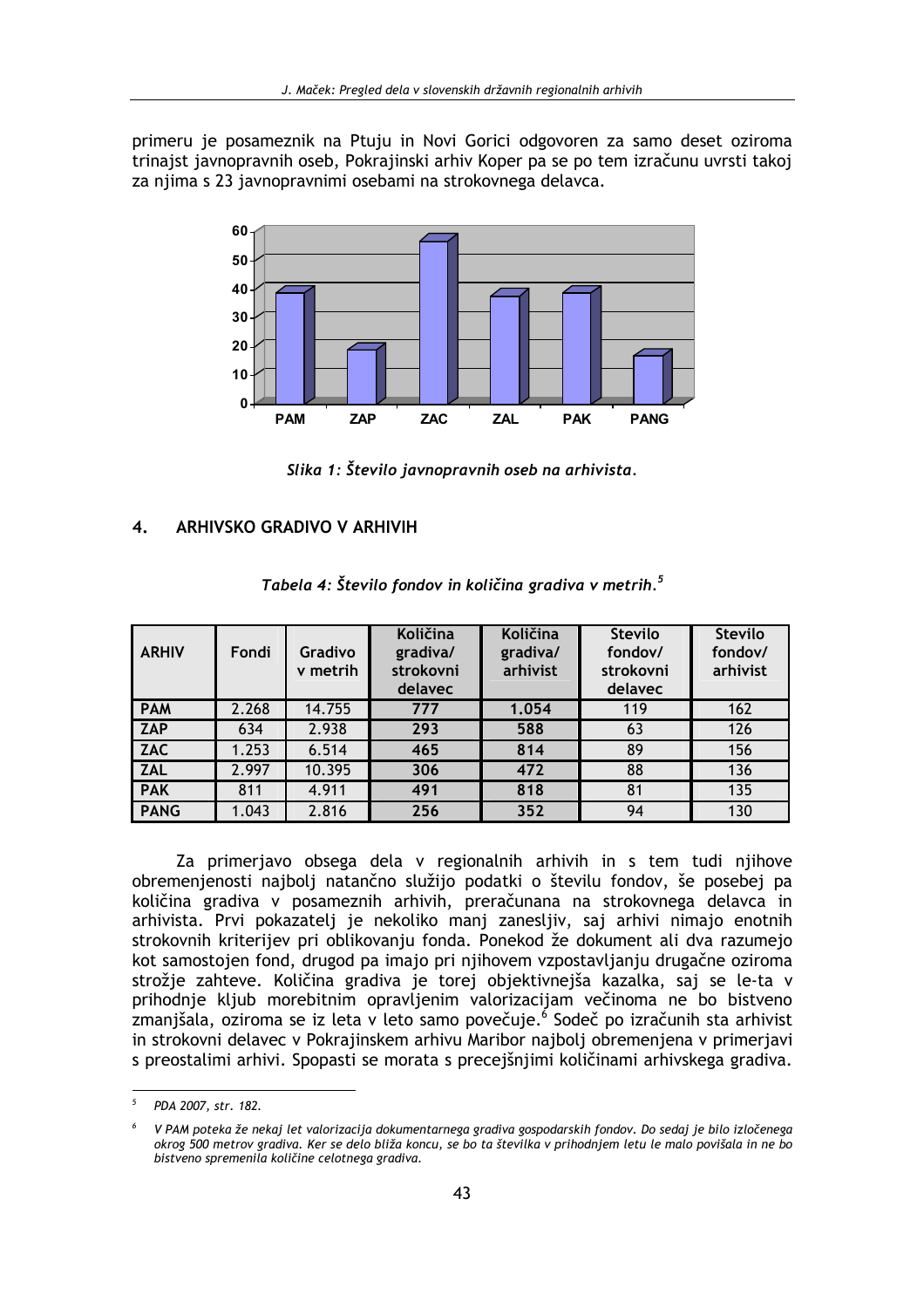primeru je posameznik na Ptuju in Novi Gorici odgovoren za samo deset oziroma trinajst javnopravnih oseb, Pokrajinski arhiv Koper pa se po tem izračunu uvrsti takoj za njima s 23 javnopravnimi osebami na strokovnega delavca.



Slika 1: Število javnopravnih oseb na arhivista.

#### **ARHIVSKO GRADIVO V ARHIVIH** 4.

| <b>ARHIV</b> | Fondi | Gradivo<br>v metrih | Količina<br>gradiva/<br>strokovni<br>delavec | <b>Količina</b><br>gradiva/<br>arhivist | <b>Število</b><br>fondov/<br>strokovni<br>delavec | <b>Stevilo</b><br>fondov/<br>arhivist |
|--------------|-------|---------------------|----------------------------------------------|-----------------------------------------|---------------------------------------------------|---------------------------------------|
| <b>PAM</b>   | 2.268 | 14.755              | 777                                          | 1.054                                   | 119                                               | 162                                   |
| <b>ZAP</b>   | 634   | 2.938               | 293                                          | 588                                     | 63                                                | 126                                   |
| <b>ZAC</b>   | 1.253 | 6.514               | 465                                          | 814                                     | 89                                                | 156                                   |
| <b>ZAL</b>   | 2.997 | 10.395              | 306                                          | 472                                     | 88                                                | 136                                   |
| <b>PAK</b>   | 811   | 4.911               | 491                                          | 818                                     | 81                                                | 135                                   |
| <b>PANG</b>  | 1.043 | 2.816               | 256                                          | 352                                     | 94                                                | 130                                   |

|  |  | Tabela 4: Število fondov in količina gradiva v metrih. <sup>5</sup> |
|--|--|---------------------------------------------------------------------|
|--|--|---------------------------------------------------------------------|

Za primerjavo obsega dela v regionalnih arhivih in s tem tudi njihove obremenjenosti najbolj natančno služijo podatki o številu fondov, še posebej pa količina gradiva v posameznih arhivih, preračunana na strokovnega delavca in arhivista. Prvi pokazatelj je nekoliko manj zanesljiv, saj arhivi nimajo enotnih strokovnih kriterijev pri oblikovanju fonda. Ponekod že dokument ali dva razumejo kot samostojen fond, drugod pa imajo pri njihovem vzpostavljanju drugačne oziroma strožie zahteve. Količina gradiva je torej objektivnejša kazalka, saj se le-ta v prihodnje kljub morebitnim opravljenim valorizacijam večinoma ne bo bistveno zmanjšala, oziroma se iz leta v leto samo povečuje.<sup>6</sup> Sodeč po izračunih sta arhivist in strokovni delavec v Pokrajinskem arhivu Maribor najbolj obremenjena v primerjavi s preostalimi arhivi. Spopasti se morata s precejšnjimi količinami arhivskega gradiva.

 $\overline{5}$ PDA 2007, str. 182.

V PAM poteka že nekaj let valorizacija dokumentarnega gradiva gospodarskih fondov. Do sedaj je bilo izločenega okrog 500 metrov gradiva. Ker se delo bliža koncu, se bo ta številka v prihodnjem letu le malo povišala in ne bo bistveno spremenila količine celotnega gradiva.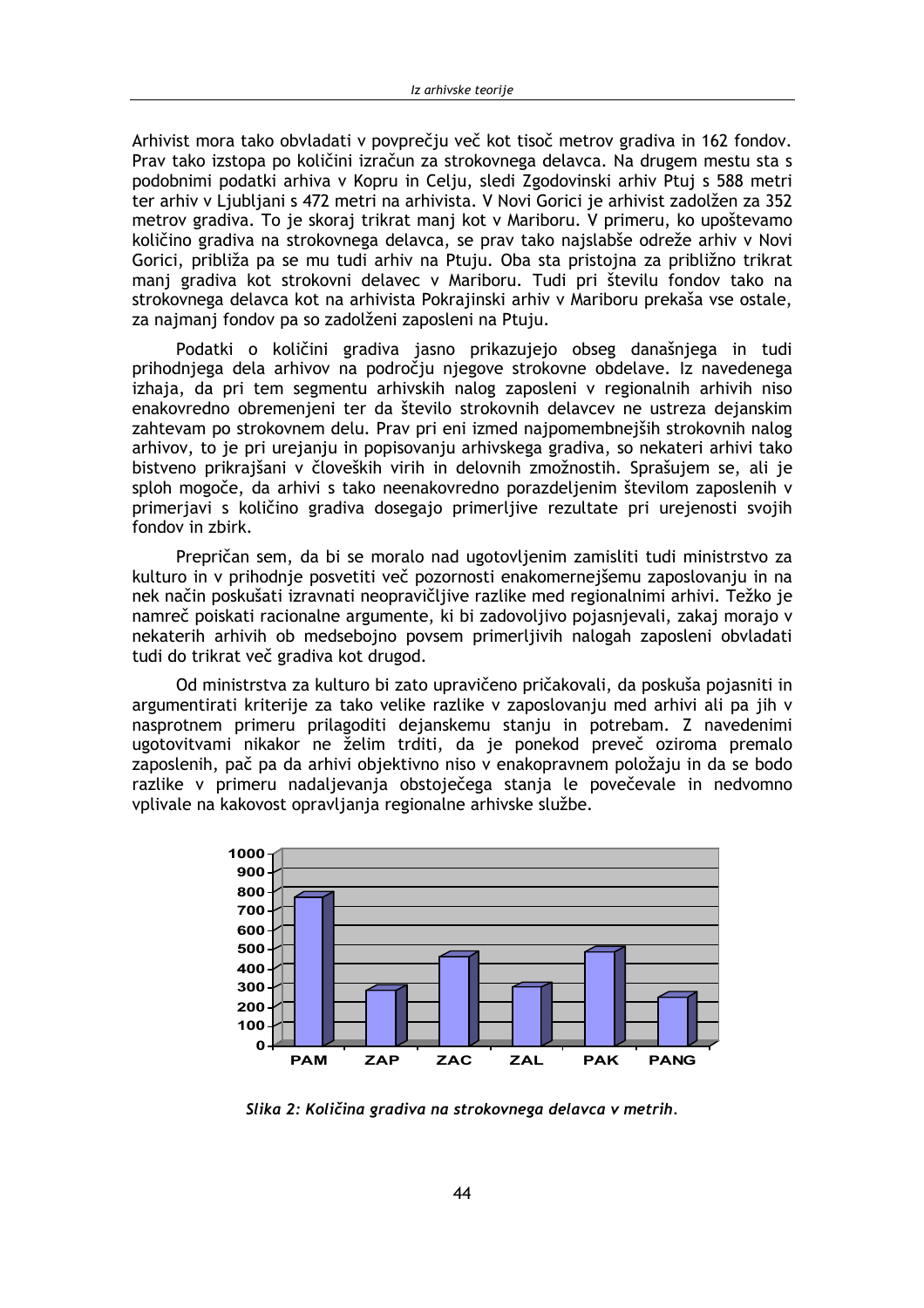Arhivist mora tako obvladati v povprečiu več kot tisoč metrov gradiva in 162 fondov. Prav tako izstopa po količini izračun za strokovnega delavca. Na drugem mestu sta s podobnimi podatki arhiva v Kopru in Celiu, sledi Zgodovinski arhiv Ptui s 588 metri ter arhiv v Liubliani s 472 metri na arhivista. V Novi Gorici je arhivist zadolžen za 352 metrov gradiva. To je skoraj trikrat manj kot v Mariboru. V primeru, ko upoštevamo količino gradiva na strokovnega delavca, se prav tako najslabše odreže arhiv v Novi Gorici, približa pa se mu tudi arhiv na Ptuju. Oba sta pristojna za približno trikrat manj gradiva kot strokovni delavec v Mariboru. Tudi pri številu fondov tako na strokovnega delavca kot na arhivista Pokrajinski arhiv v Mariboru prekaša vse ostale, za najmanj fondov pa so zadolženi zaposleni na Ptuju.

Podatki o količini gradiva jasno prikazujejo obseg današnjega in tudi prihodnjega dela arhivov na področju njegove strokovne obdelave. Iz navedenega izhaja, da pri tem segmentu arhivskih nalog zaposleni v regionalnih arhivih niso enakovredno obremenjeni ter da število strokovnih delavcev ne ustreza dejanskim zahtevam po strokovnem delu. Prav pri eni izmed najpomembnejših strokovnih nalog arhivov, to je pri urejanju in popisovanju arhivskega gradiva, so nekateri arhivi tako bistveno prikrajšani v človeških virih in delovnih zmožnostih. Sprašujem se, ali je sploh mogoče, da arhivi s tako neenakovredno porazdeljenim številom zaposlenih v primerjavi s količino gradiva dosegajo primerljive rezultate pri urejenosti svojih fondov in zbirk.

Prepričan sem, da bi se moralo nad ugotovljenim zamisliti tudi ministrstvo za kulturo in v prihodnje posvetiti več pozornosti enakomernejšemu zaposlovanju in na nek način poskušati izravnati neopravičljive razlike med regionalnimi arhivi. Težko je namreč poiskati racionalne argumente, ki bi zadovoljivo pojasnjevali, zakaj morajo v nekaterih arhivih ob medsebojno povsem primerljivih nalogah zaposleni obvladati tudi do trikrat več gradiva kot drugod.

Od ministrstva za kulturo bi zato upravičeno pričakovali, da poskuša pojasniti in argumentirati kriterije za tako velike razlike v zaposlovanju med arhivi ali pa jih v nasprotnem primeru prilagoditi dejanskemu stanju in potrebam. Z navedenimi ugotovitvami nikakor ne želim trditi, da je ponekod preveč oziroma premalo zaposlenih, pač pa da arhivi objektivno niso v enakopravnem položaju in da se bodo razlike v primeru nadalievania obstoječega stania le povečevale in nedvomno vplivale na kakovost opravljanja regionalne arhivske službe.



Slika 2: Količina gradiva na strokovnega delavca v metrih.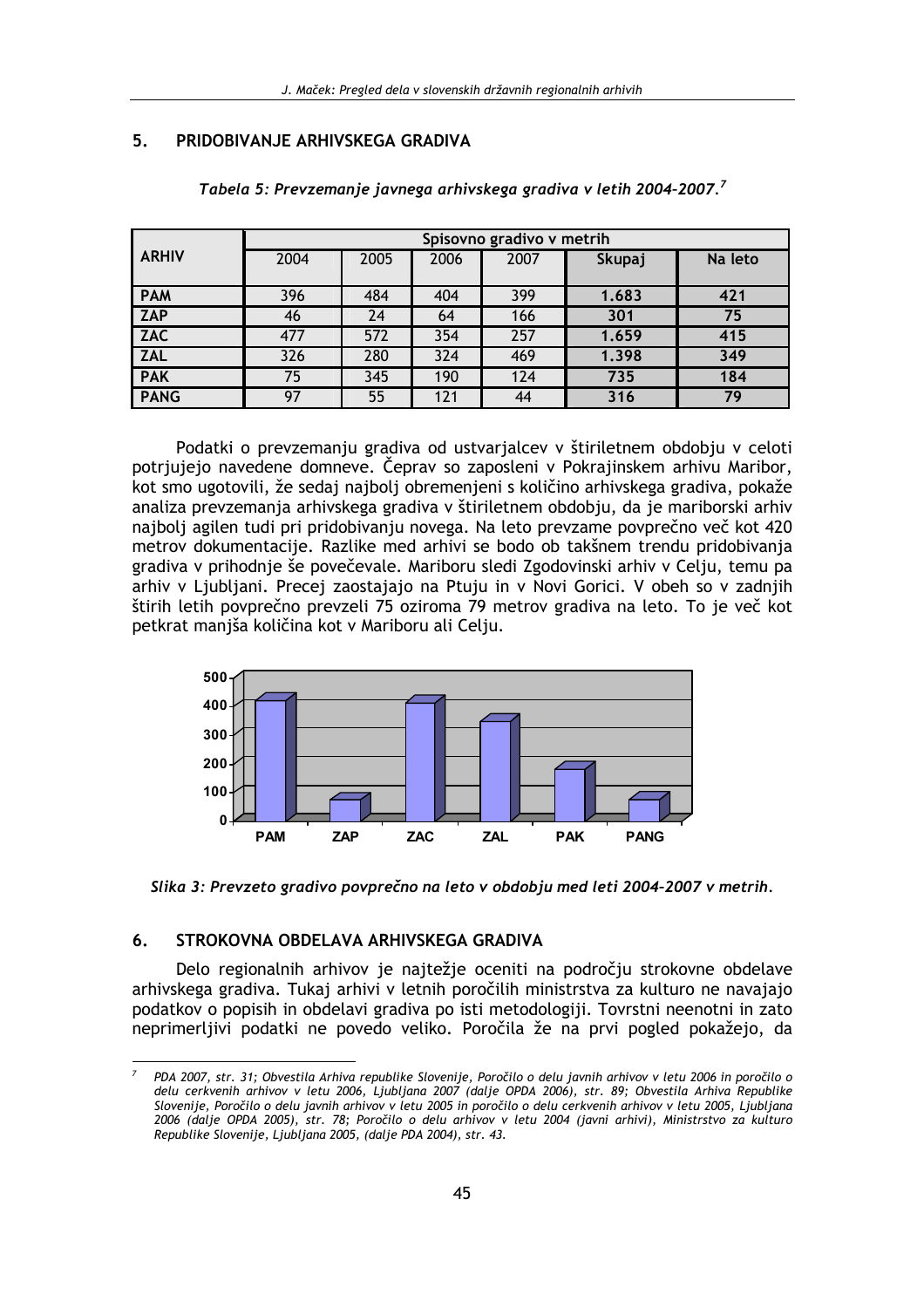#### 5. PRIDOBIVANJE ARHIVSKEGA GRADIVA

|              | Spisovno gradivo v metrih |      |      |      |        |         |  |  |  |
|--------------|---------------------------|------|------|------|--------|---------|--|--|--|
| <b>ARHIV</b> | 2004                      | 2005 | 2006 | 2007 | Skupaj | Na leto |  |  |  |
| <b>PAM</b>   | 396                       | 484  | 404  | 399  | 1.683  | 421     |  |  |  |
| <b>ZAP</b>   | 46                        | 24   | 64   | 166  | 301    | 75      |  |  |  |
| ZAC          | 477                       | 572  | 354  | 257  | 1.659  | 415     |  |  |  |
| <b>ZAL</b>   | 326                       | 280  | 324  | 469  | 1.398  | 349     |  |  |  |
| <b>PAK</b>   | 75                        | 345  | 190  | 124  | 735    | 184     |  |  |  |
| <b>PANG</b>  | 97                        | 55   | 121  | 44   | 316    | 79      |  |  |  |

Tabela 5: Prevzemanje javnega arhivskega gradiva v letih 2004-2007.<sup>7</sup>

Podatki o prevzemanju gradiva od ustvarjalcev v štiriletnem obdobju v celoti potrjujejo navedene domneve. Čeprav so zaposleni v Pokrajinskem arhivu Maribor, kot smo ugotovili, že sedaj najboli obremenjeni s količino arhivskega gradiva, pokaže analiza prevzemanja arhivskega gradiva v štiriletnem obdobju, da je mariborski arhiv najbolj agilen tudi pri pridobivanju novega. Na leto prevzame povprečno več kot 420 metrov dokumentacije. Razlike med arhivi se bodo ob takšnem trendu pridobivanja gradiva v prihodnje še povečevale. Mariboru sledi Zgodovinski arhiv v Celju, temu pa arhiv v Ljubljani. Precej zaostajajo na Ptuju in v Novi Gorici. V obeh so v zadnjih štirih letih povprečno prevzeli 75 oziroma 79 metrov gradiva na leto. To je več kot petkrat manjša količina kot v Mariboru ali Celju.





#### STROKOVNA OBDELAVA ARHIVSKEGA GRADIVA  $6.$

Delo regionalnih arhivov je najtežje oceniti na področju strokovne obdelave arhivskega gradiva. Tukaj arhivi v letnih poročilih ministrstva za kulturo ne navajajo podatkov o popisih in obdelavi gradiva po isti metodologiji. Tovrstni neenotni in zato neprimerlijvi podatki ne povedo veliko. Poročila že na prvi pogled pokažejo, da

PDA 2007, str. 31; Obvestila Arhiva republike Slovenije, Poročilo o delu javnih arhivov v letu 2006 in poročilo o delu cerkvenih arhivov v letu 2006, Ljubljana 2007 (dalje OPDA 2006), str. 89; Obvestila Arhiva Republike Slovenije, Poročilo o delu javnih arhivov v letu 2005 in poročilo o delu cerkvenih arhivov v letu 2005, Ljubljana 2006 (dalje OPDA 2005), str. 78; Poročilo o delu arhivov v letu 2004 (javni arhivi), Ministrstvo za kulturo Republike Slovenije, Ljubljana 2005, (dalje PDA 2004), str. 43.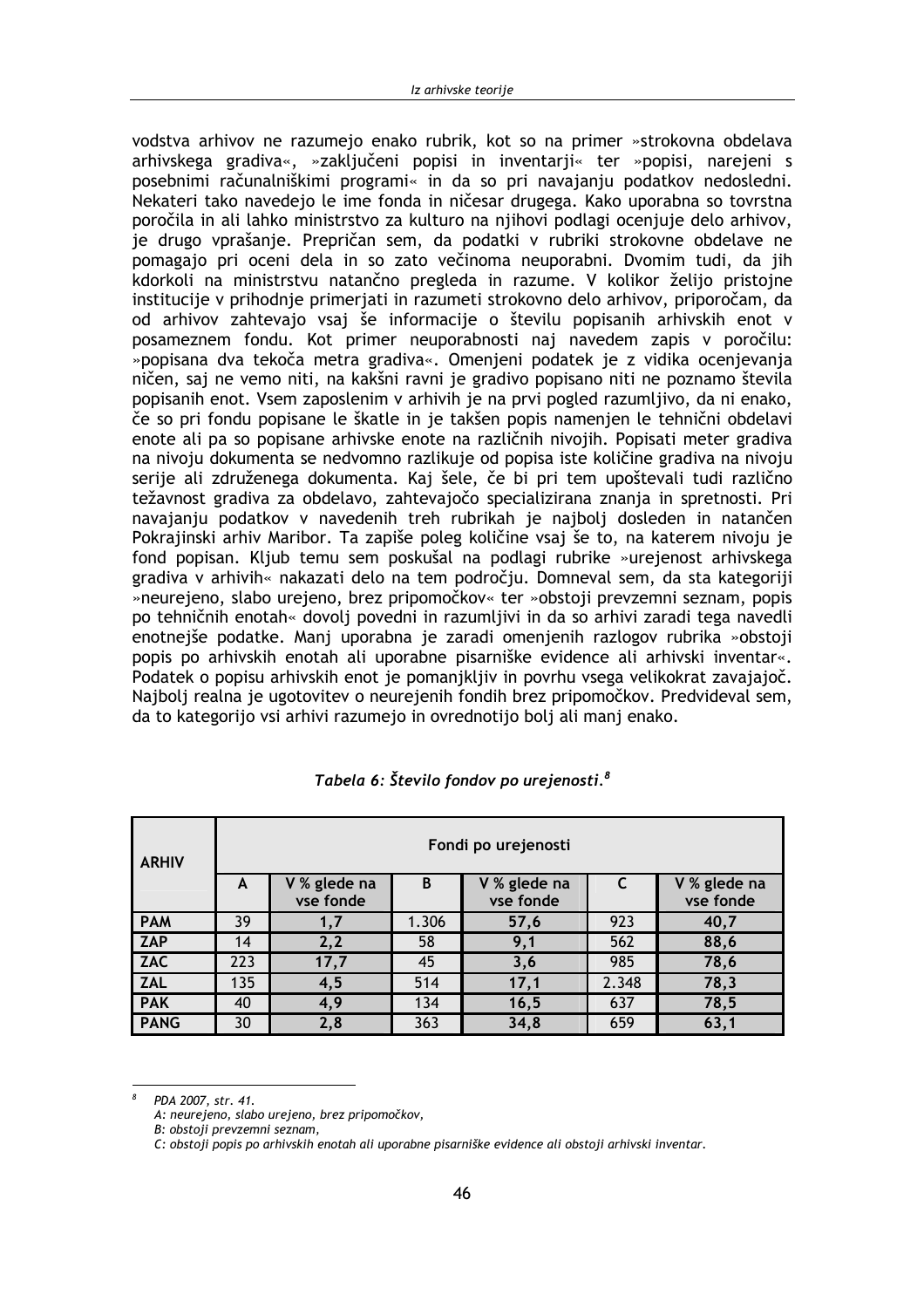vodstva arhivov ne razumejo enako rubrik, kot so na primer »strokovna obdelava arhivskega gradiva«, »zaključeni popisi in inventarii« ter »popisi, narejeni s posebnimi računalniškimi programi« in da so pri navajanju podatkov nedosledni. Nekateri tako navedejo le ime fonda in ničesar drugega. Kako uporabna so tovrstna poročila in ali lahko ministrstvo za kulturo na njihovi podlagi ocenjuje delo arhivov, je drugo vprašanje. Prepričan sem, da podatki v rubriki strokovne obdelave ne pomagajo pri oceni dela in so zato večinoma neuporabni. Dvomim tudi, da jih kdorkoli na ministrstvu natančno pregleda in razume. V kolikor želijo pristojne institucije v prihodnje primerjati in razumeti strokovno delo arhivov, priporočam, da od arhivov zahtevajo vsaj še informacije o številu popisanih arhivskih enot v posameznem fondu. Kot primer neuporabnosti naj navedem zapis v poročilu: »popisana dva tekoča metra gradiva«. Omenjeni podatek je z vidika ocenjevanja ničen, saj ne vemo niti, na kakšni ravni je gradivo popisano niti ne poznamo števila popisanih enot. Vsem zaposlenim v arhivih je na prvi pogled razumljivo, da ni enako, če so pri fondu popisane le škatle in je takšen popis namenjen le tehnični obdelavi enote ali pa so popisane arhivske enote na različnih nivojih. Popisati meter gradiva na nivoju dokumenta se nedvomno razlikuje od popisa iste količine gradiva na nivoju serije ali združenega dokumenta. Kaj šele, če bi pri tem upoštevali tudi različno težavnost gradiva za obdelavo, zahtevajočo specializirana znanja in spretnosti. Pri navajanju podatkov v navedenih treh rubrikah je najbolj dosleden in natančen Pokrajinski arhiv Maribor. Ta zapiše poleg količine vsaj še to, na katerem nivoju je fond popisan. Kljub temu sem poskušal na podlagi rubrike »urejenost arhivskega gradiva v arhivih« nakazati delo na tem področju. Domneval sem, da sta kategoriji »neurejeno, slabo urejeno, brez pripomočkov« ter »obstoji prevzemni seznam, popis po tehničnih enotah« dovolj povedni in razumljivi in da so arhivi zaradi tega navedli enotnejše podatke. Manj uporabna je zaradi omenjenih razlogov rubrika »obstoji popis po arhivskih enotah ali uporabne pisarniške evidence ali arhivski inventar«. Podatek o popisu arhivskih enot je pomaniklijy in povrhu vsega velikokrat zavajajoč. Najboli realna je ugotovitev o neurejenih fondih brez pripomočkov. Predvideval sem. da to kategorijo vsi arhivi razumejo in ovrednotijo boli ali mani enako.

| <b>ARHIV</b>  |     | Fondi po urejenosti       |       |                           |       |                           |  |  |  |  |  |
|---------------|-----|---------------------------|-------|---------------------------|-------|---------------------------|--|--|--|--|--|
|               | A   | V % glede na<br>vse fonde | B     | V % glede na<br>vse fonde | C     | V % glede na<br>vse fonde |  |  |  |  |  |
| <b>PAM</b>    | 39  | 1,7                       | 1.306 | 57,6                      | 923   | 40,7                      |  |  |  |  |  |
| <b>ZAP</b>    | 14  | 2,2                       | 58    | 9,1                       | 562   | 88,6                      |  |  |  |  |  |
| <b>ZAC</b>    | 223 | 17,7                      | 45    | 3,6                       | 985   | 78,6                      |  |  |  |  |  |
| <b>ZAL</b>    | 135 | 4,5                       | 514   | 17,1                      | 2.348 | 78,3                      |  |  |  |  |  |
| <b>PAK</b>    | 40  | 4,9                       | 134   | 16, 5                     | 637   | 78,5                      |  |  |  |  |  |
| <b>I PANG</b> | 30  | 2.8                       | 363   | 34.8                      | 659   | 63.1                      |  |  |  |  |  |

### Tabela 6: Število fondov po urejenosti.<sup>8</sup>

PDA 2007. str. 41.

A: neurejeno, slabo urejeno, brez pripomočkov,

B: obstoii prevzemni seznam.

C: obstoji popis po arhivskih enotah ali uporabne pisarniške evidence ali obstoji arhivski inventar.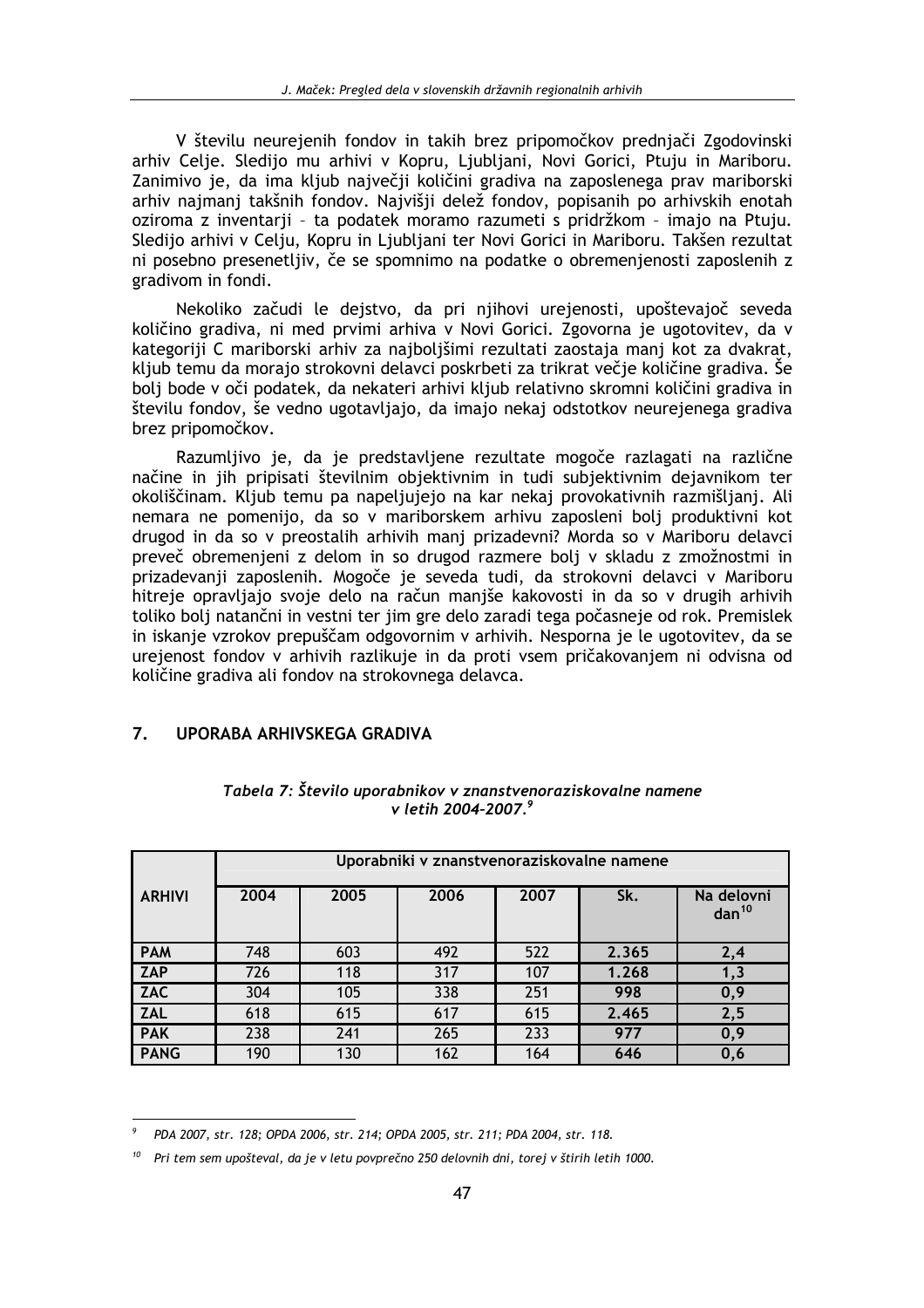V številu neurejenih fondov in takih brez pripomočkov prednjači Zgodovinski arhiv Celje. Sledijo mu arhivi v Kopru, Ljubljani, Novi Gorici, Ptuju in Mariboru. Zanimivo je, da ima kljub največji količini gradiva na zaposlenega prav mariborski arhiv najmanj takšnih fondov. Najvišji delež fondov, popisanih po arhivskih enotah oziroma z inventarji - ta podatek moramo razumeti s pridržkom - imajo na Ptuju. Sledijo arhivi v Celju, Kopru in Ljubljani ter Novi Gorici in Mariboru. Takšen rezultat ni posebno presenetljiv, če se spomnimo na podatke o obremenjenosti zaposlenih z gradivom in fondi.

Nekoliko začudi le dejstvo, da pri njihovi urejenosti, upoštevajoč seveda količino gradiva, ni med prvimi arhiva v Novi Gorici. Zgovorna je ugotovitev, da v kategoriji C mariborski arhiv za najboljšimi rezultati zaostaja manj kot za dvakrat, kljub temu da morajo strokovni delavci poskrbeti za trikrat večje količine gradiva. Še bolj bode v oči podatek, da nekateri arhivi kljub relativno skromni količini gradiva in številu fondov, še vedno ugotavljajo, da imajo nekaj odstotkov neurejenega gradiva brez pripomočkov.

Razumljivo je, da je predstavljene rezultate mogoče razlagati na različne načine in jih pripisati številnim objektivnim in tudi subjektivnim dejavnikom ter okoliščinam. Kljub temu pa napeljujejo na kar nekaj provokativnih razmišljanj. Ali nemara ne pomenijo, da so v mariborskem arhivu zaposleni bolj produktivni kot drugod in da so v preostalih arhivih manj prizadevni? Morda so v Mariboru delavci preveč obremenjeni z delom in so drugod razmere bolj v skladu z zmožnostmi in prizadevanji zaposlenih. Mogoče je seveda tudi, da strokovni delavci v Mariboru hitreje opravljajo svoje delo na račun manjše kakovosti in da so v drugih arhivih toliko bolj natančni in vestni ter jim gre delo zaradi tega počasneje od rok. Premislek in iskanje vzrokov prepuščam odgovornim v arhivih. Nesporna je le ugotovitev, da se urejenost fondov v arhivih razlikuje in da proti vsem pričakovanjem ni odvisna od količine gradiva ali fondov na strokovnega delavca.

#### $\overline{7}$ **IIPORABA ARHIVSKEGA GRADIVA**

|               |      | Uporabniki v znanstvenoraziskovalne namene |      |      |       |                                 |  |  |  |  |
|---------------|------|--------------------------------------------|------|------|-------|---------------------------------|--|--|--|--|
| <b>ARHIVI</b> | 2004 | 2005                                       | 2006 | 2007 | Sk.   | Na delovni<br>$\text{dan}^{10}$ |  |  |  |  |
| <b>PAM</b>    | 748  | 603                                        | 492  | 522  | 2.365 | 2,4                             |  |  |  |  |
| <b>ZAP</b>    | 726  | 118                                        | 317  | 107  | 1.268 | 1,3                             |  |  |  |  |
| <b>ZAC</b>    | 304  | 105                                        | 338  | 251  | 998   | 0,9                             |  |  |  |  |
| <b>ZAL</b>    | 618  | 615                                        | 617  | 615  | 2.465 | 2,5                             |  |  |  |  |
| <b>PAK</b>    | 238  | 241                                        | 265  | 233  | 977   | 0,9                             |  |  |  |  |
| <b>PANG</b>   | 190  | 130                                        | 162  | 164  | 646   | 0,6                             |  |  |  |  |

### Tabela 7: Število uporabnikov v znanstvenoraziskovalne namene v letih 2004-2007.9

PDA 2007, str. 128; OPDA 2006, str. 214; OPDA 2005, str. 211; PDA 2004, str. 118.

Pri tem sem upošteval, da je v letu povprečno 250 delovnih dni, torej v štirih letih 1000.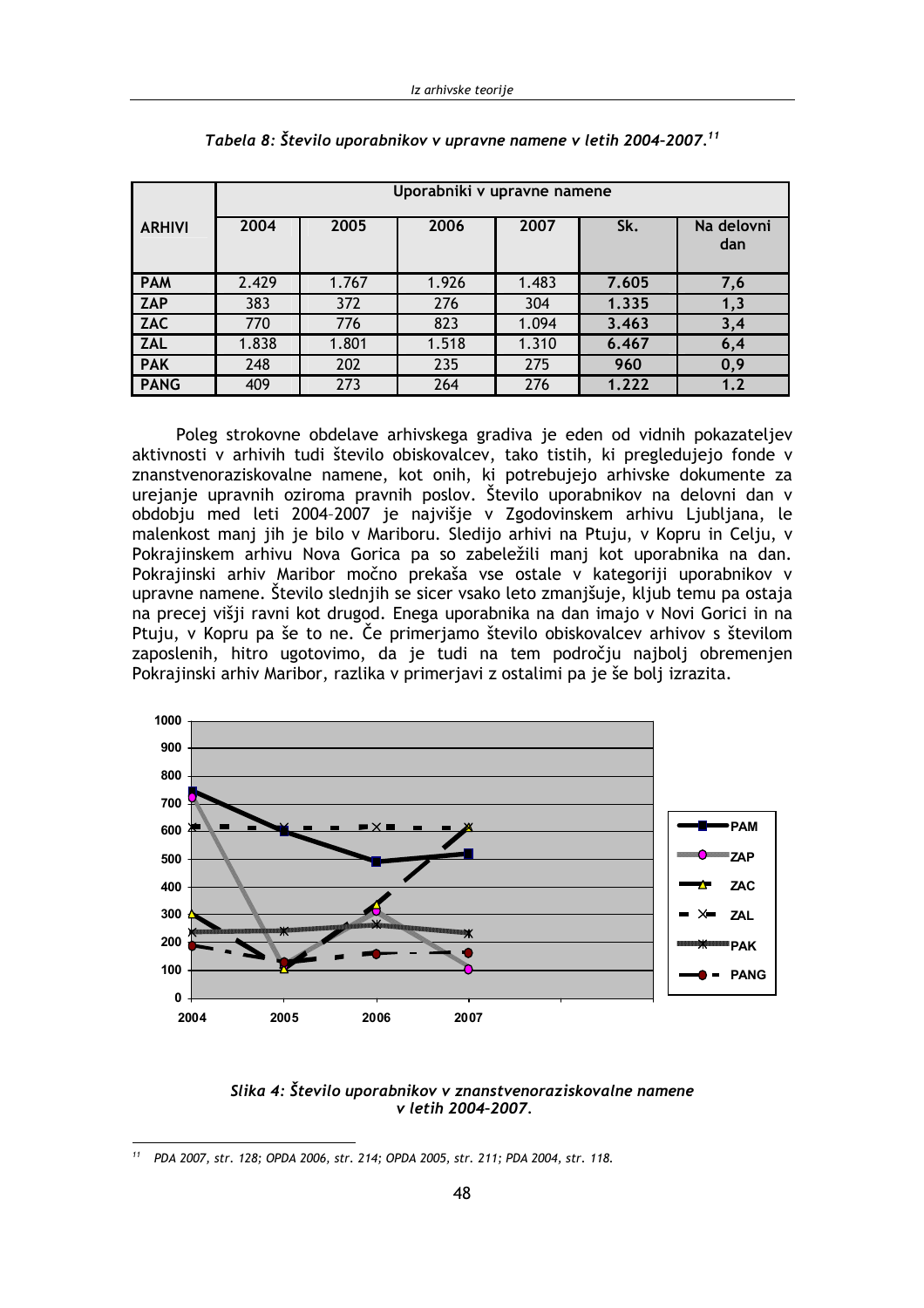|               | Uporabniki v upravne namene |       |       |       |       |                   |  |  |  |
|---------------|-----------------------------|-------|-------|-------|-------|-------------------|--|--|--|
| <b>ARHIVI</b> | 2004                        | 2005  | 2006  | 2007  | Sk.   | Na delovni<br>dan |  |  |  |
| <b>PAM</b>    | 2.429                       | 1.767 | 1.926 | 1.483 | 7.605 | 7,6               |  |  |  |
| <b>ZAP</b>    | 383                         | 372   | 276   | 304   | 1.335 | 1,3               |  |  |  |
| <b>ZAC</b>    | 770                         | 776   | 823   | 1.094 | 3.463 | 3,4               |  |  |  |
| <b>ZAL</b>    | 1.838                       | 1.801 | 1.518 | 1.310 | 6.467 | 6,4               |  |  |  |
| <b>PAK</b>    | 248                         | 202   | 235   | 275   | 960   | 0,9               |  |  |  |
| <b>PANG</b>   | 409                         | 273   | 264   | 276   | 1.222 | 1.2               |  |  |  |

Poleg strokovne obdelave arhivskega gradiva je eden od vidnih pokazateljev aktivnosti v arhivih tudi število obiskovalcev, tako tistih, ki pregledujejo fonde v znanstvenoraziskovalne namene, kot onih, ki potrebujejo arhivske dokumente za urejanje upravnih oziroma pravnih poslov. Število uporabnikov na delovni dan v obdobju med leti 2004-2007 je najvišje v Zgodovinskem arhivu Ljubljana, le malenkost manj jih je bilo v Mariboru. Sledijo arhivi na Ptuju, v Kopru in Celju, v Pokrajinskem arhivu Nova Gorica pa so zabeležili manj kot uporabnika na dan. Pokrajinski arhiv Maribor močno prekaša vse ostale v kategoriji uporabnikov v upravne namene. Število slednjih se sicer vsako leto zmanjšuje, kljub temu pa ostaja na precej višji ravni kot drugod. Enega uporabnika na dan imajo v Novi Gorici in na Ptuju, v Kopru pa še to ne. Če primerjamo število obiskovalcev arhivov s številom zaposlenih, hitro ugotovimo, da je tudi na tem področju najbolj obremenjen Pokrajinski arhiv Maribor, razlika v primerjavi z ostalimi pa je še bolj izrazita.



Slika 4: Število uporabnikov v znanstvenoraziskovalne namene v letih 2004-2007.

<sup>&</sup>lt;sup>11</sup> PDA 2007, str. 128; OPDA 2006, str. 214; OPDA 2005, str. 211; PDA 2004, str. 118.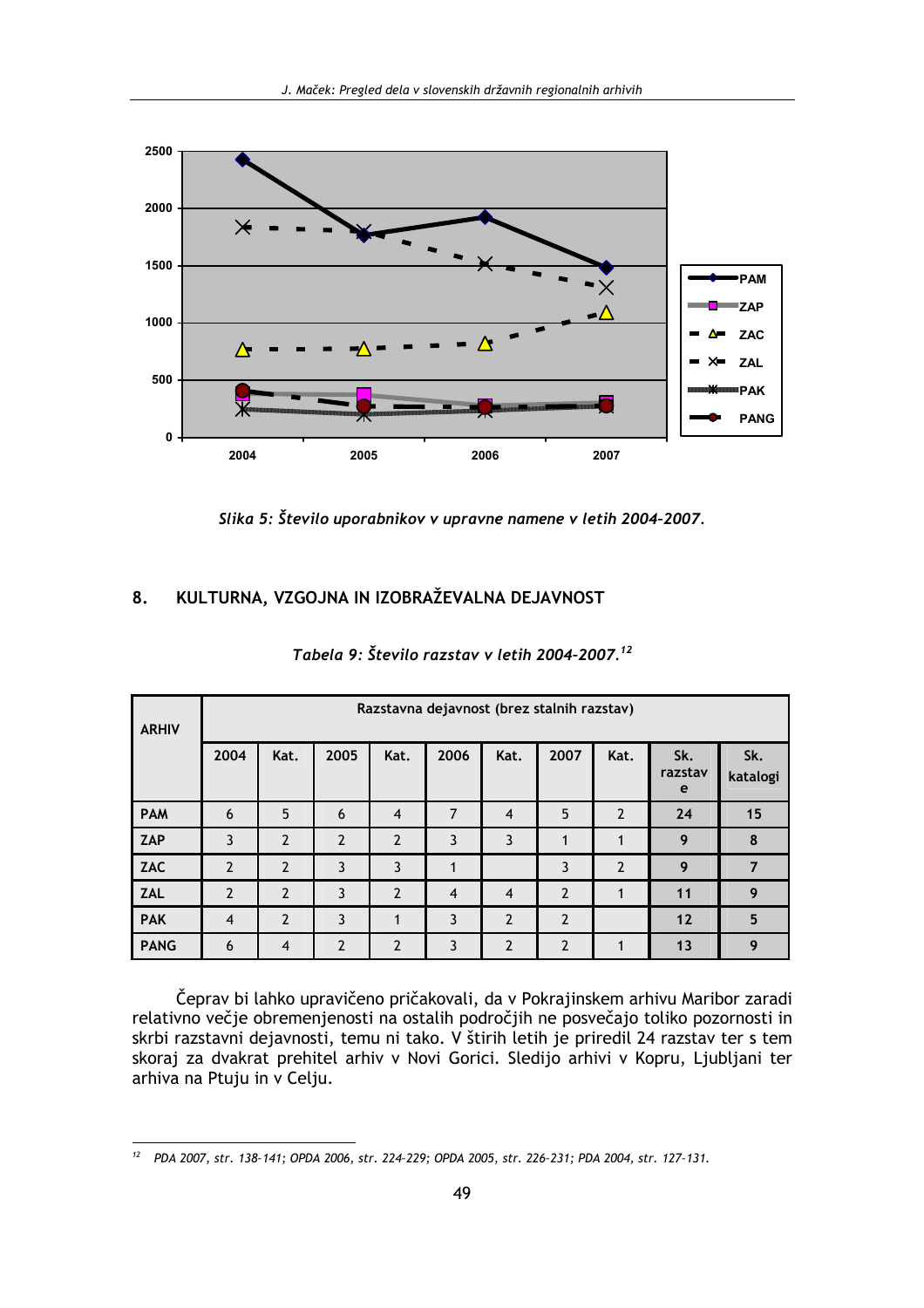

Slika 5: Število uporabnikov v upravne namene v letih 2004-2007.

#### KULTURNA, VZGOJNA IN IZOBRAŽEVALNA DEJAVNOST 8.

| <b>ARHIV</b> |                | Razstavna dejavnost (brez stalnih razstav) |                |                |                |                |                |                |                     |                 |  |
|--------------|----------------|--------------------------------------------|----------------|----------------|----------------|----------------|----------------|----------------|---------------------|-----------------|--|
|              | 2004           | Kat.                                       | 2005           | Kat.           | 2006           | Kat.           | 2007           | Kat.           | Sk.<br>razstav<br>e | Sk.<br>katalogi |  |
| <b>PAM</b>   | 6              | 5                                          | 6              | $\overline{4}$ | $\overline{7}$ | $\overline{4}$ | 5              | $\overline{2}$ | 24                  | 15              |  |
| ZAP          | 3              | $\overline{2}$                             | $\overline{2}$ | $\overline{2}$ | 3              | 3              |                | 1              | 9                   | 8               |  |
| ZAC          | $\overline{2}$ | $\overline{2}$                             | 3              | 3              | 1              |                | 3              | $\overline{2}$ | 9                   | 7               |  |
| <b>ZAL</b>   | $\overline{2}$ | $\overline{2}$                             | 3              | $\overline{2}$ | $\overline{4}$ | $\overline{4}$ | $\overline{2}$ | 1              | 11                  | 9               |  |
| <b>PAK</b>   | $\overline{4}$ | $\overline{2}$                             | 3              |                | 3              | $\overline{2}$ | $\overline{2}$ |                | 12                  | 5               |  |
| <b>PANG</b>  | 6              | $\overline{4}$                             | $\overline{2}$ | $\overline{2}$ | 3              | 2              | $\overline{2}$ | 1              | 13                  | 9               |  |

## Tabela 9: Število razstav v letih 2004-2007.<sup>12</sup>

Čeprav bi lahko upravičeno pričakovali, da v Pokrajinskem arhivu Maribor zaradi relativno večje obremenjenosti na ostalih področjih ne posvečajo toliko pozornosti in skrbi razstavni dejavnosti, temu ni tako. V štirih letih je priredil 24 razstav ter s tem skoraj za dvakrat prehitel arhiv v Novi Gorici. Sledijo arhivi v Kopru, Ljubljani ter arhiva na Ptuju in v Celju.

<sup>&</sup>lt;sup>12</sup> PDA 2007, str. 138-141; OPDA 2006, str. 224-229; OPDA 2005, str. 226-231; PDA 2004, str. 127-131.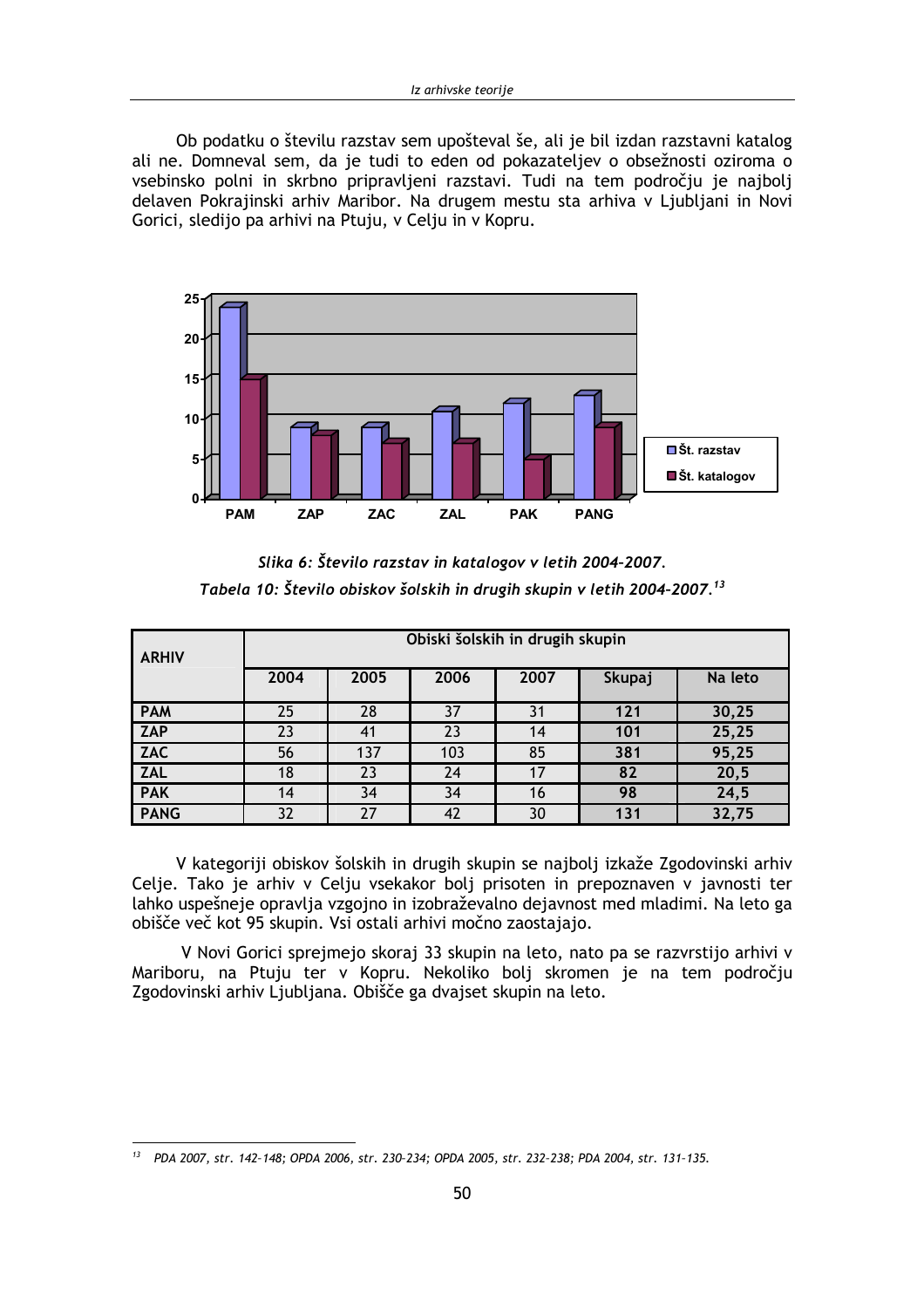Ob podatku o številu razstav sem upošteval še, ali je bil izdan razstavni katalog ali ne. Domneval sem, da je tudi to eden od pokazateljev o obsežnosti oziroma o vsebinsko polni in skrbno pripravljeni razstavi. Tudi na tem področju je najbolj delaven Pokrajinski arhiv Maribor. Na drugem mestu sta arhiva v Ljubljani in Novi Gorici, sledijo pa arhivi na Ptuju, v Celju in v Kopru.



Slika 6: Število razstav in katalogov v letih 2004-2007. Tabela 10: Število obiskov šolskih in drugih skupin v letih 2004-2007.<sup>13</sup>

| <b>ARHIV</b> | Obiski šolskih in drugih skupin |      |      |      |        |         |  |
|--------------|---------------------------------|------|------|------|--------|---------|--|
|              | 2004                            | 2005 | 2006 | 2007 | Skupaj | Na leto |  |
| <b>PAM</b>   | 25                              | 28   | 37   | 31   | 121    | 30,25   |  |
| <b>ZAP</b>   | 23                              | 41   | 23   | 14   | 101    | 25,25   |  |
| <b>ZAC</b>   | 56                              | 137  | 103  | 85   | 381    | 95,25   |  |
| <b>ZAL</b>   | 18                              | 23   | 24   | 17   | 82     | 20,5    |  |
| <b>PAK</b>   | 14                              | 34   | 34   | 16   | 98     | 24,5    |  |
| <b>PANG</b>  | 32                              | 27   | 42   | 30   | 131    | 32,75   |  |

V kategoriji obiskov šolskih in drugih skupin se najbolj izkaže Zgodovinski arhiv Celje. Tako je arhiv v Celju vsekakor bolj prisoten in prepoznaven v javnosti ter lahko uspešneje opravlja vzgojno in izobraževalno dejavnost med mladimi. Na leto ga obišče več kot 95 skupin. Vsi ostali arhivi močno zaostajajo.

V Novi Gorici sprejmejo skoraj 33 skupin na leto, nato pa se razvrstijo arhivi v Mariboru, na Ptuju ter v Kopru. Nekoliko bolj skromen je na tem področju Zgodovinski arhiv Ljubljana. Obišče ga dvajset skupin na leto.

<sup>&</sup>lt;sup>13</sup> PDA 2007, str. 142-148; OPDA 2006, str. 230-234; OPDA 2005, str. 232-238; PDA 2004, str. 131-135.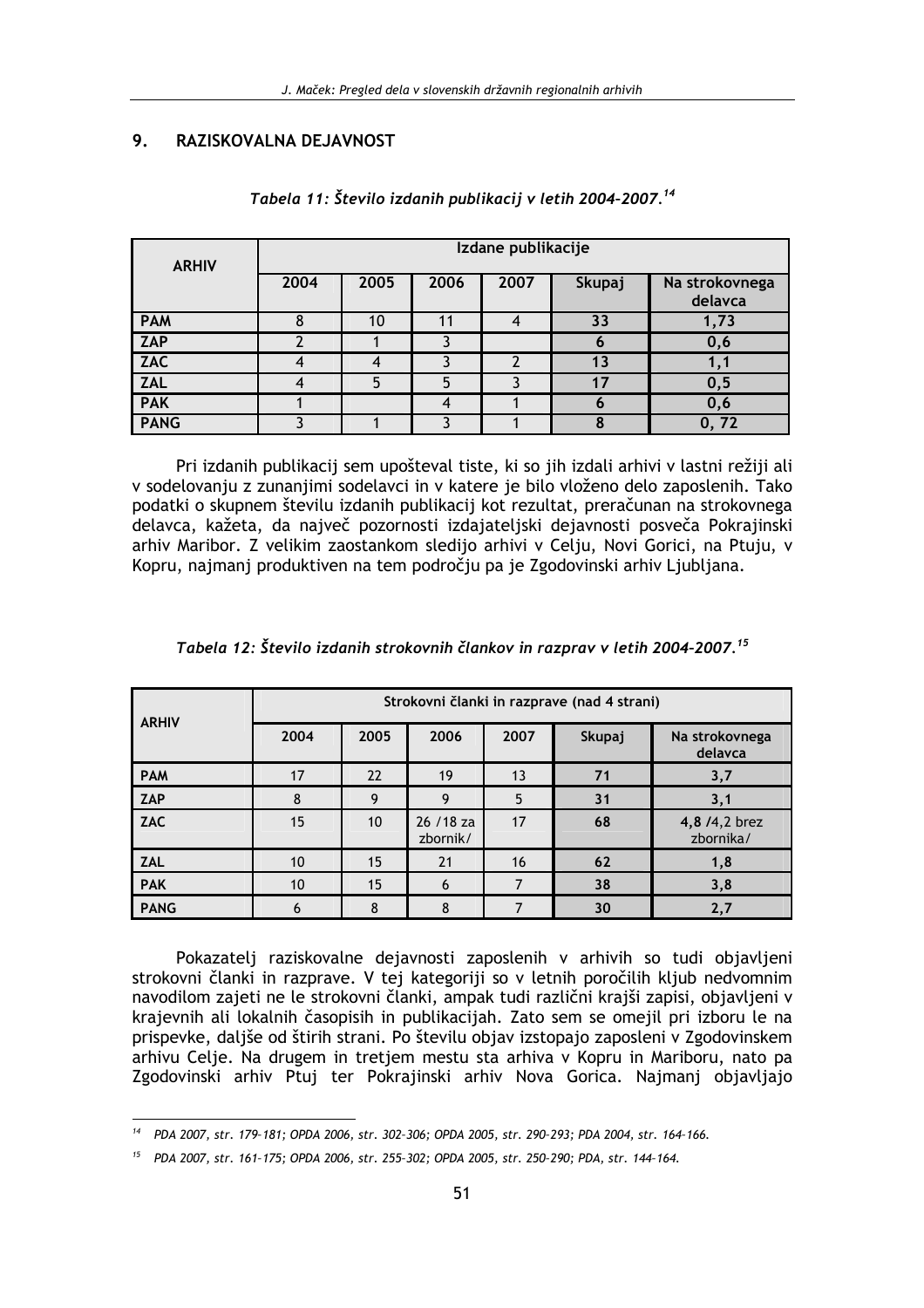#### $9<sub>1</sub>$ RAZISKOVALNA DEJAVNOST

| <b>ARHIV</b> | Izdane publikacije |      |      |      |        |                           |  |
|--------------|--------------------|------|------|------|--------|---------------------------|--|
|              | 2004               | 2005 | 2006 | 2007 | Skupaj | Na strokovnega<br>delavca |  |
| <b>PAM</b>   |                    | 10   |      | 4    | 33     | 1,73                      |  |
| <b>ZAP</b>   |                    |      |      |      | O      | 0,6                       |  |
| <b>ZAC</b>   |                    |      |      |      | 13     |                           |  |
| <b>ZAL</b>   |                    | 5    | 5    |      | 17     | 0,5                       |  |
| <b>PAK</b>   |                    |      | 4    |      | O      | 0,6                       |  |
| <b>PANG</b>  |                    |      |      |      | 8      | 0, 72                     |  |

### Tabela 11: Število izdanih publikacij v letih 2004-2007.<sup>14</sup>

Pri izdanih publikacij sem upošteval tiste, ki so jih izdali arhivi v lastni režiji ali v sodelovanju z zunanjimi sodelavci in v katere je bilo vloženo delo zaposlenih. Tako podatki o skupnem številu izdanih publikacij kot rezultat, preračunan na strokovnega delavca, kažeta, da največ pozornosti izdajateljski dejavnosti posveča Pokrajinski arhiv Maribor. Z velikim zaostankom sledijo arhivi v Celju, Novi Gorici, na Ptuju, v Kopru, najmanj produktiven na tem področju pa je Zgodovinski arhiv Ljubljana.

| <b>ARHIV</b> | Strokovni članki in razprave (nad 4 strani) |                 |                        |      |        |                            |  |
|--------------|---------------------------------------------|-----------------|------------------------|------|--------|----------------------------|--|
|              | 2004                                        | 2005            | 2006                   | 2007 | Skupaj | Na strokovnega<br>delavca  |  |
| <b>PAM</b>   | 17                                          | 22              | 19                     | 13   | 71     | 3,7                        |  |
| ZAP          | 8                                           | 9               | 9                      | 5    | 31     | 3,1                        |  |
| <b>ZAC</b>   | 15                                          | 10 <sup>°</sup> | 26 / 18 za<br>zbornik/ | 17   | 68     | 4,8 /4,2 brez<br>zbornika/ |  |
| <b>ZAL</b>   | 10                                          | 15              | 21                     | 16   | 62     | 1,8                        |  |
| <b>PAK</b>   | 10                                          | 15              | 6                      | 7    | 38     | 3,8                        |  |
| <b>PANG</b>  | 6                                           | 8               | 8                      | 7    | 30     | 2,7                        |  |

| Tabela 12: Število izdanih strokovnih člankov in razprav v letih 2004-2007. $^{\rm 15}$ |  |  |
|-----------------------------------------------------------------------------------------|--|--|
|-----------------------------------------------------------------------------------------|--|--|

Pokazatelj raziskovalne dejavnosti zaposlenih v arhivih so tudi objavljeni strokovni članki in razprave. V tej kategoriji so v letnih poročilih kljub nedvomnim navodilom zajeti ne le strokovni članki, ampak tudi različni krajši zapisi, objavljeni v krajevnih ali lokalnih časopisih in publikacijah. Zato sem se omejil pri izboru le na prispevke, daljše od štirih strani. Po številu objav izstopajo zaposleni v Zgodovinskem arhivu Celje. Na drugem in tretjem mestu sta arhiva v Kopru in Mariboru, nato pa Zgodovinski arhiv Ptuj ter Pokrajinski arhiv Nova Gorica. Najmanj objavljajo

PDA 2007, str. 179-181; OPDA 2006, str. 302-306; OPDA 2005, str. 290-293; PDA 2004, str. 164-166.

<sup>&</sup>lt;sup>15</sup> PDA 2007, str. 161-175; OPDA 2006, str. 255-302; OPDA 2005, str. 250-290; PDA, str. 144-164.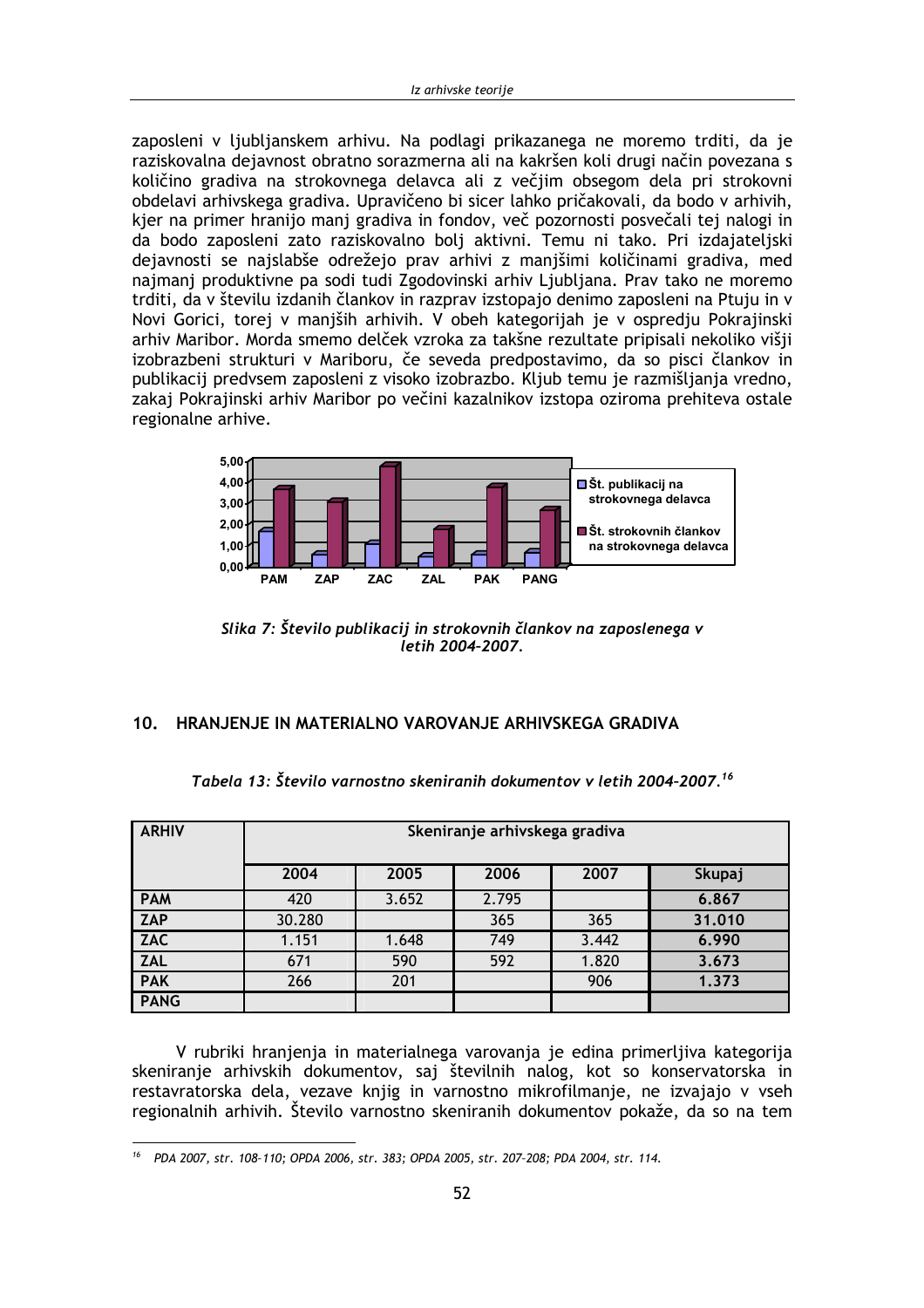zaposleni v ljubljanskem arhivu. Na podlagi prikazanega ne moremo trditi, da je raziskovalna dejavnost obratno sorazmerna ali na kakršen koli drugi način povezana s količino gradiva na strokovnega delavca ali z večjim obsegom dela pri strokovni obdelavi arhivskega gradiva. Upravičeno bi sicer lahko pričakovali, da bodo v arhivih, kjer na primer hranijo manj gradiva in fondov, več pozornosti posvečali tej nalogi in da bodo zaposleni zato raziskovalno bolj aktivni. Temu ni tako. Pri izdajateljski dejavnosti se najslabše odrežejo prav arhivi z manjšimi količinami gradiva, med najmanj produktivne pa sodi tudi Zgodovinski arhiv Ljubljana. Prav tako ne moremo trditi, da v številu izdanih člankov in razprav izstopajo denimo zaposleni na Ptuju in v Novi Gorici, torej v maniših arhivih. V obeh kategorijah je v ospredju Pokrajinski arhiv Maribor. Morda smemo delček vzroka za takšne rezultate pripisali nekoliko višji izobrazbeni strukturi v Mariboru, če seveda predpostavimo, da so pisci člankov in publikacij predvsem zaposleni z visoko izobrazbo. Kljub temu je razmišljanja vredno, zakaj Pokrajinski arhiv Maribor po večini kazalnikov izstopa oziroma prehiteva ostale regionalne arhive.



Slika 7: Število publikacij in strokovnih člankov na zaposlenega v letih 2004-2007.

### 10. HRANJENJE IN MATERIALNO VAROVANJE ARHIVSKEGA GRADIVA

| <b>ARHIV</b> | Skeniranje arhivskega gradiva |       |       |       |        |  |  |
|--------------|-------------------------------|-------|-------|-------|--------|--|--|
|              | 2004                          | 2005  | 2006  | 2007  | Skupaj |  |  |
| <b>PAM</b>   | 420                           | 3.652 | 2.795 |       | 6.867  |  |  |
| <b>ZAP</b>   | 30.280                        |       | 365   | 365   | 31,010 |  |  |
| <b>ZAC</b>   | 1.151                         | 1.648 | 749   | 3.442 | 6.990  |  |  |
| <b>ZAL</b>   | 671                           | 590   | 592   | 1.820 | 3.673  |  |  |
| <b>PAK</b>   | 266                           | 201   |       | 906   | 1.373  |  |  |
| <b>PANG</b>  |                               |       |       |       |        |  |  |

Tabela 13: Število varnostno skeniranih dokumentov v letih 2004-2007.<sup>16</sup>

V rubriki hranjenja in materialnega varovanja je edina primerljiva kategorija skeniranje arhivskih dokumentov, saj številnih nalog, kot so konservatorska in restavratorska dela, vezave knjig in varnostno mikrofilmanje, ne izvajajo v vseh regionalnih arhivih. Število varnostno skeniranih dokumentov pokaže, da so na tem

<sup>&</sup>lt;sup>16</sup> PDA 2007, str. 108-110; OPDA 2006, str. 383; OPDA 2005, str. 207-208; PDA 2004, str. 114.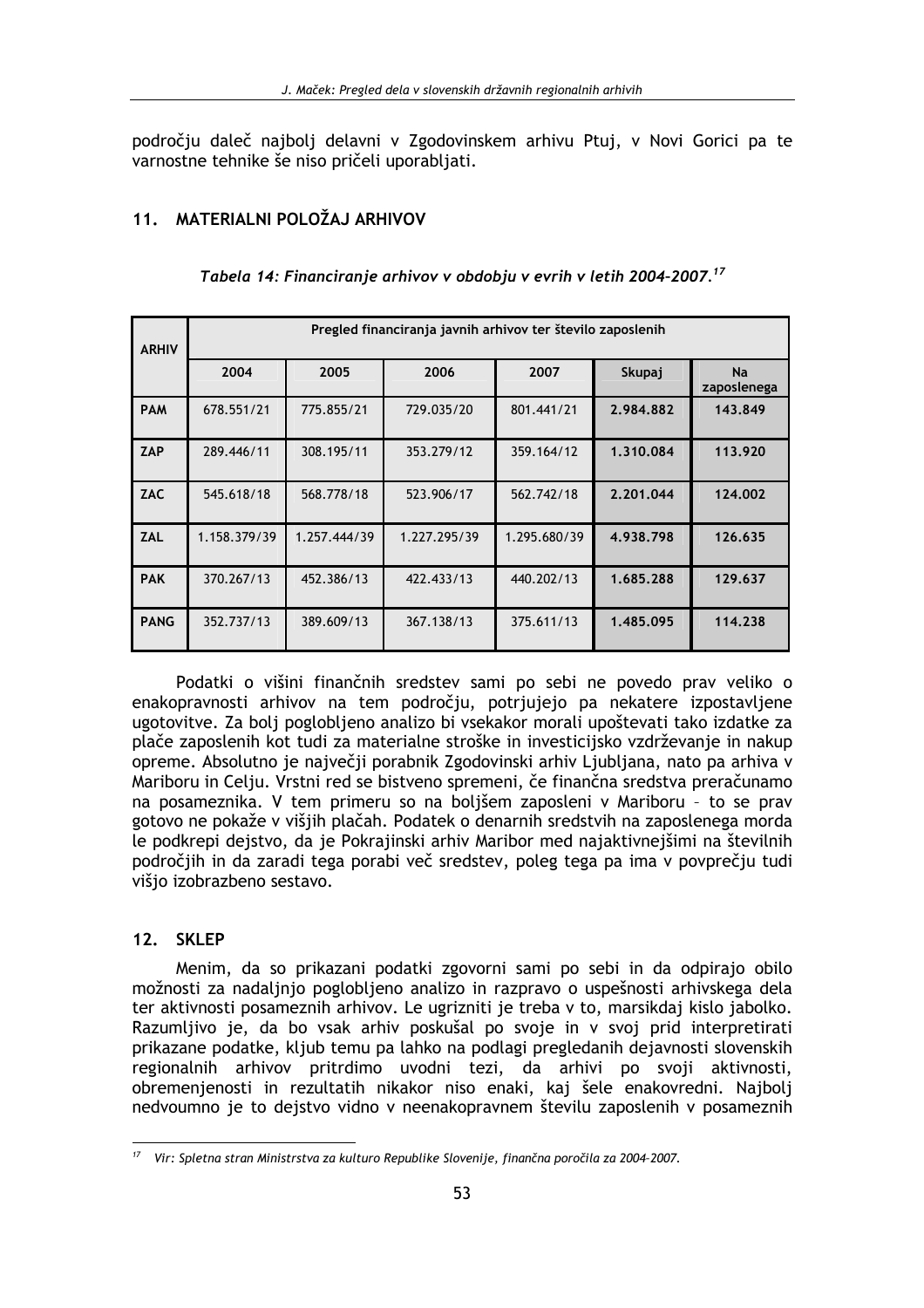področju daleč najbolj delavni v Zgodovinskem arhivu Ptuj, v Novi Gorici pa te varnostne tehnike še niso pričeli uporabljati.

## 11 MATFRIAI NI POLOŽAJ ARHIVOV

| <b>ARHIV</b> | Pregled financiranja javnih arhivov ter število zaposlenih |              |              |              |           |                          |  |
|--------------|------------------------------------------------------------|--------------|--------------|--------------|-----------|--------------------------|--|
|              | 2004                                                       | 2005         | 2006         | 2007         | Skupaj    | <b>Na</b><br>zaposlenega |  |
| <b>PAM</b>   | 678.551/21                                                 | 775.855/21   | 729.035/20   | 801.441/21   | 2.984.882 | 143.849                  |  |
| ZAP          | 289.446/11                                                 | 308.195/11   | 353.279/12   | 359.164/12   | 1.310.084 | 113.920                  |  |
| <b>ZAC</b>   | 545.618/18                                                 | 568.778/18   | 523.906/17   | 562.742/18   | 2.201.044 | 124.002                  |  |
| <b>ZAL</b>   | 1.158.379/39                                               | 1.257.444/39 | 1.227.295/39 | 1.295.680/39 | 4.938.798 | 126.635                  |  |
| <b>PAK</b>   | 370.267/13                                                 | 452.386/13   | 422.433/13   | 440.202/13   | 1.685.288 | 129.637                  |  |
| <b>PANG</b>  | 352.737/13                                                 | 389.609/13   | 367.138/13   | 375.611/13   | 1.485.095 | 114.238                  |  |

Tabela 14: Financiranje arhivov v obdobju v evrih v letih 2004-2007.<sup>17</sup>

Podatki o višini finančnih sredstev sami po sebi ne povedo prav veliko o enakopravnosti arhivov na tem področju, potrjujejo pa nekatere izpostavljene ugotovitve. Za bolj poglobljeno analizo bi vsekakor morali upoštevati tako izdatke za plače zaposlenih kot tudi za materialne stroške in investicijsko vzdrževanje in nakup opreme. Absolutno je največji porabnik Zgodovinski arhiv Ljubljana, nato pa arhiva v Mariboru in Celiu. Vrstni red se bistveno spremeni, če finančna sredstva preračunamo na posameznika. V tem primeru so na bolišem zaposleni v Mariboru - to se prav gotovo ne pokaže v višjih plačah. Podatek o denarnih sredstvih na zaposlenega morda le podkrepi dejstvo, da je Pokrajinski arhiv Maribor med najaktivnejšimi na številnih področjih in da zaradi tega porabi več sredstev, poleg tega pa ima v povprečju tudi višio izobrazbeno sestavo.

### 12. SKLEP

Menim, da so prikazani podatki zgovorni sami po sebi in da odpirajo obilo možnosti za nadaljnjo poglobljeno analizo in razpravo o uspešnosti arhivskega dela ter aktivnosti posameznih arhivov. Le ugrizniti je treba v to, marsikdaj kislo jabolko. Razumljivo je, da bo vsak arhiv poskušal po svoje in v svoj prid interpretirati prikazane podatke, kljub temu pa lahko na podlagi pregledanih dejavnosti slovenskih regionalnih arhivov pritrdimo uvodni tezi, da arhivi po svoji aktivnosti, obremenjenosti in rezultatih nikakor niso enaki, kaj šele enakovredni. Najbolj nedvoumno je to dejstvo vidno v neenakopravnem številu zaposlenih v posameznih

 $17$  Vir: Spletna stran Ministrstva za kulturo Republike Slovenije, finančna poročila za 2004-2007.